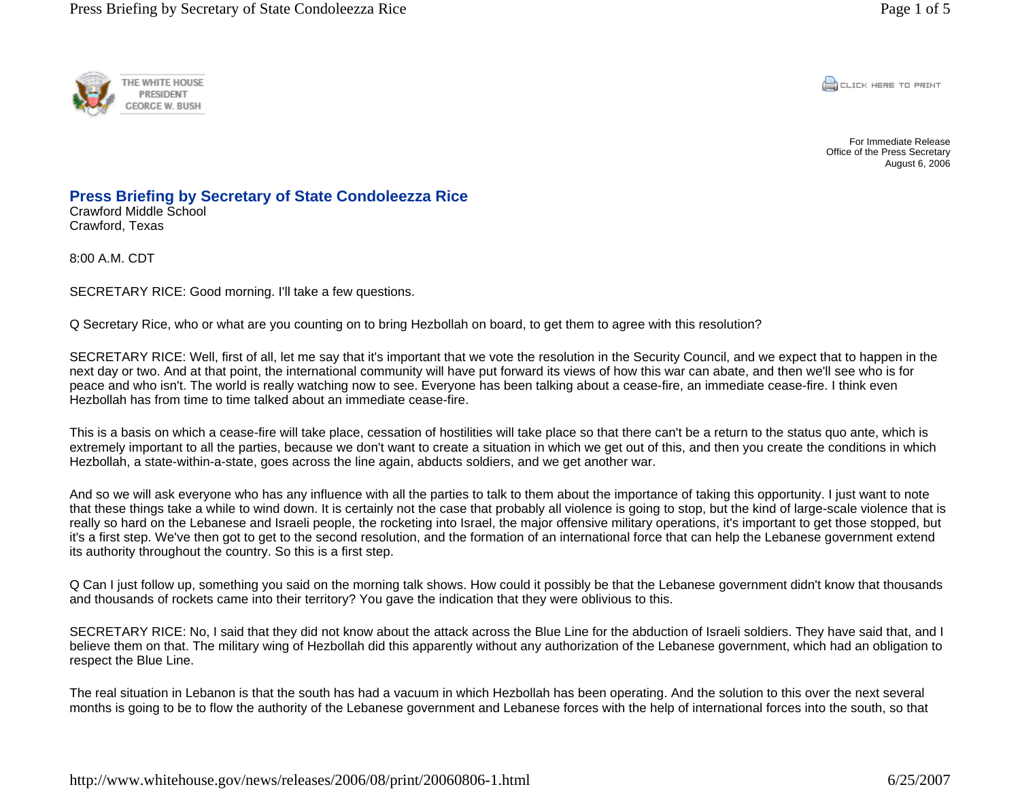

**CONCRETE PRINT** 

For Immediate Release Office of the Press Secretary August 6, 2006

## **Press Briefing by Secretary of State Condoleezza Rice**

Crawford Middle School Crawford, Texas

8:00 A.M. CDT

SECRETARY RICE: Good morning. I'll take a few questions.

Q Secretary Rice, who or what are you counting on to bring Hezbollah on board, to get them to agree with this resolution?

SECRETARY RICE: Well, first of all, let me say that it's important that we vote the resolution in the Security Council, and we expect that to happen in the next day or two. And at that point, the international community will have put forward its views of how this war can abate, and then we'll see who is for peace and who isn't. The world is really watching now to see. Everyone has been talking about a cease-fire, an immediate cease-fire. I think even Hezbollah has from time to time talked about an immediate cease-fire.

This is a basis on which a cease-fire will take place, cessation of hostilities will take place so that there can't be a return to the status quo ante, which is extremely important to all the parties, because we don't want to create a situation in which we get out of this, and then you create the conditions in which Hezbollah, a state-within-a-state, goes across the line again, abducts soldiers, and we get another war.

And so we will ask everyone who has any influence with all the parties to talk to them about the importance of taking this opportunity. I just want to note that these things take a while to wind down. It is certainly not the case that probably all violence is going to stop, but the kind of large-scale violence that is really so hard on the Lebanese and Israeli people, the rocketing into Israel, the major offensive military operations, it's important to get those stopped, but it's a first step. We've then got to get to the second resolution, and the formation of an international force that can help the Lebanese government extend its authority throughout the country. So this is a first step.

Q Can I just follow up, something you said on the morning talk shows. How could it possibly be that the Lebanese government didn't know that thousands and thousands of rockets came into their territory? You gave the indication that they were oblivious to this.

SECRETARY RICE: No, I said that they did not know about the attack across the Blue Line for the abduction of Israeli soldiers. They have said that, and I believe them on that. The military wing of Hezbollah did this apparently without any authorization of the Lebanese government, which had an obligation to respect the Blue Line.

The real situation in Lebanon is that the south has had a vacuum in which Hezbollah has been operating. And the solution to this over the next several months is going to be to flow the authority of the Lebanese government and Lebanese forces with the help of international forces into the south, so that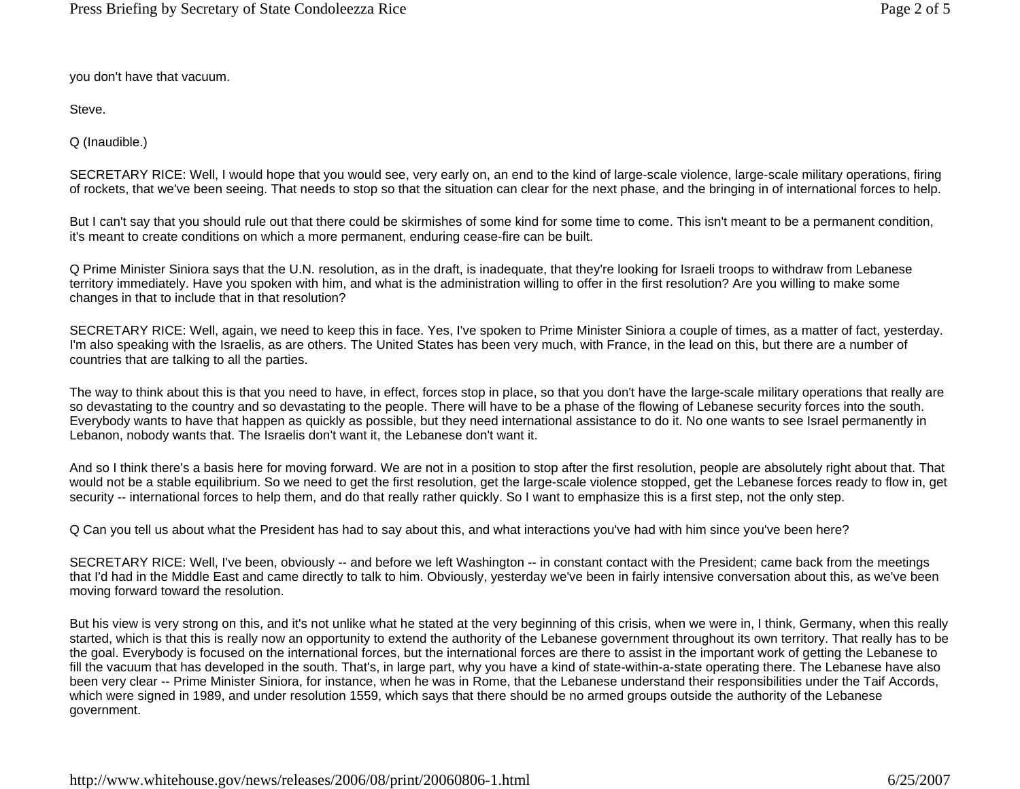you don't have that vacuum.

Steve.

Q (Inaudible.)

SECRETARY RICE: Well, I would hope that you would see, very early on, an end to the kind of large-scale violence, large-scale military operations, firing of rockets, that we've been seeing. That needs to stop so that the situation can clear for the next phase, and the bringing in of international forces to help.

But I can't say that you should rule out that there could be skirmishes of some kind for some time to come. This isn't meant to be a permanent condition, it's meant to create conditions on which a more permanent, enduring cease-fire can be built.

Q Prime Minister Siniora says that the U.N. resolution, as in the draft, is inadequate, that they're looking for Israeli troops to withdraw from Lebanese territory immediately. Have you spoken with him, and what is the administration willing to offer in the first resolution? Are you willing to make some changes in that to include that in that resolution?

SECRETARY RICE: Well, again, we need to keep this in face. Yes, I've spoken to Prime Minister Siniora a couple of times, as a matter of fact, yesterday. I'm also speaking with the Israelis, as are others. The United States has been very much, with France, in the lead on this, but there are a number of countries that are talking to all the parties.

The way to think about this is that you need to have, in effect, forces stop in place, so that you don't have the large-scale military operations that really are so devastating to the country and so devastating to the people. There will have to be a phase of the flowing of Lebanese security forces into the south. Everybody wants to have that happen as quickly as possible, but they need international assistance to do it. No one wants to see Israel permanently in Lebanon, nobody wants that. The Israelis don't want it, the Lebanese don't want it.

And so I think there's a basis here for moving forward. We are not in a position to stop after the first resolution, people are absolutely right about that. That would not be a stable equilibrium. So we need to get the first resolution, get the large-scale violence stopped, get the Lebanese forces ready to flow in, get security -- international forces to help them, and do that really rather quickly. So I want to emphasize this is a first step, not the only step.

Q Can you tell us about what the President has had to say about this, and what interactions you've had with him since you've been here?

SECRETARY RICE: Well, I've been, obviously -- and before we left Washington -- in constant contact with the President; came back from the meetings that I'd had in the Middle East and came directly to talk to him. Obviously, yesterday we've been in fairly intensive conversation about this, as we've been moving forward toward the resolution.

But his view is very strong on this, and it's not unlike what he stated at the very beginning of this crisis, when we were in, I think, Germany, when this really started, which is that this is really now an opportunity to extend the authority of the Lebanese government throughout its own territory. That really has to be the goal. Everybody is focused on the international forces, but the international forces are there to assist in the important work of getting the Lebanese to fill the vacuum that has developed in the south. That's, in large part, why you have a kind of state-within-a-state operating there. The Lebanese have also been very clear -- Prime Minister Siniora, for instance, when he was in Rome, that the Lebanese understand their responsibilities under the Taif Accords, which were signed in 1989, and under resolution 1559, which says that there should be no armed groups outside the authority of the Lebanese government.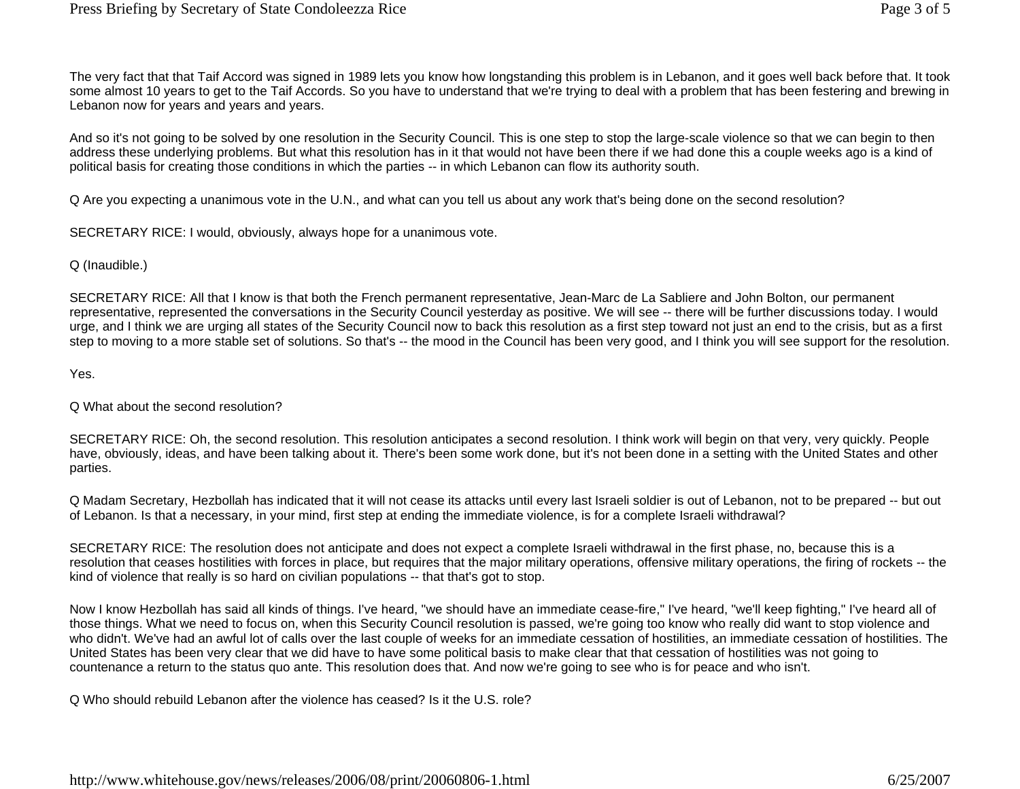The very fact that that Taif Accord was signed in 1989 lets you know how longstanding this problem is in Lebanon, and it goes well back before that. It took some almost 10 years to get to the Taif Accords. So you have to understand that we're trying to deal with a problem that has been festering and brewing in Lebanon now for years and years and years.

And so it's not going to be solved by one resolution in the Security Council. This is one step to stop the large-scale violence so that we can begin to then address these underlying problems. But what this resolution has in it that would not have been there if we had done this a couple weeks ago is a kind of political basis for creating those conditions in which the parties -- in which Lebanon can flow its authority south.

Q Are you expecting a unanimous vote in the U.N., and what can you tell us about any work that's being done on the second resolution?

SECRETARY RICE: I would, obviously, always hope for a unanimous vote.

Q (Inaudible.)

SECRETARY RICE: All that I know is that both the French permanent representative, Jean-Marc de La Sabliere and John Bolton, our permanent representative, represented the conversations in the Security Council yesterday as positive. We will see -- there will be further discussions today. I would urge, and I think we are urging all states of the Security Council now to back this resolution as a first step toward not just an end to the crisis, but as a first step to moving to a more stable set of solutions. So that's -- the mood in the Council has been very good, and I think you will see support for the resolution.

Yes.

Q What about the second resolution?

SECRETARY RICE: Oh, the second resolution. This resolution anticipates a second resolution. I think work will begin on that very, very quickly. People have, obviously, ideas, and have been talking about it. There's been some work done, but it's not been done in a setting with the United States and other parties.

Q Madam Secretary, Hezbollah has indicated that it will not cease its attacks until every last Israeli soldier is out of Lebanon, not to be prepared -- but out of Lebanon. Is that a necessary, in your mind, first step at ending the immediate violence, is for a complete Israeli withdrawal?

SECRETARY RICE: The resolution does not anticipate and does not expect a complete Israeli withdrawal in the first phase, no, because this is a resolution that ceases hostilities with forces in place, but requires that the major military operations, offensive military operations, the firing of rockets -- the kind of violence that really is so hard on civilian populations -- that that's got to stop.

Now I know Hezbollah has said all kinds of things. I've heard, "we should have an immediate cease-fire," I've heard, "we'll keep fighting," I've heard all of those things. What we need to focus on, when this Security Council resolution is passed, we're going too know who really did want to stop violence and who didn't. We've had an awful lot of calls over the last couple of weeks for an immediate cessation of hostilities, an immediate cessation of hostilities. The United States has been very clear that we did have to have some political basis to make clear that that cessation of hostilities was not going to countenance a return to the status quo ante. This resolution does that. And now we're going to see who is for peace and who isn't.

Q Who should rebuild Lebanon after the violence has ceased? Is it the U.S. role?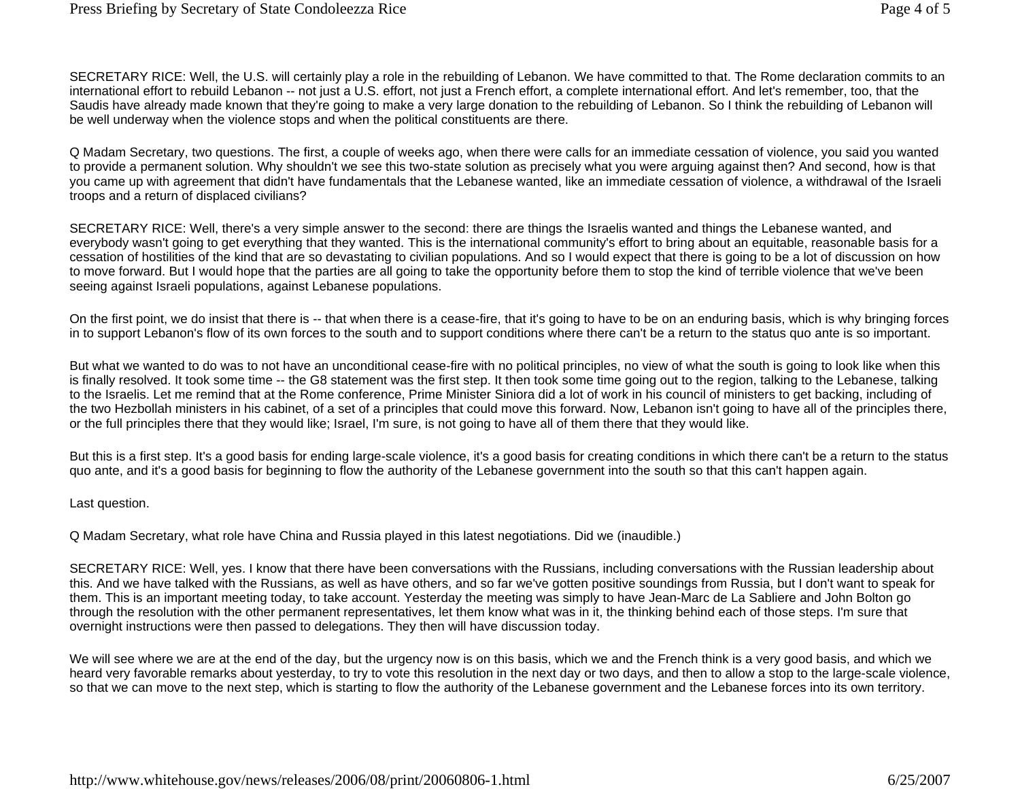SECRETARY RICE: Well, the U.S. will certainly play a role in the rebuilding of Lebanon. We have committed to that. The Rome declaration commits to an international effort to rebuild Lebanon -- not just a U.S. effort, not just a French effort, a complete international effort. And let's remember, too, that the Saudis have already made known that they're going to make a very large donation to the rebuilding of Lebanon. So I think the rebuilding of Lebanon will be well underway when the violence stops and when the political constituents are there.

Q Madam Secretary, two questions. The first, a couple of weeks ago, when there were calls for an immediate cessation of violence, you said you wanted to provide a permanent solution. Why shouldn't we see this two-state solution as precisely what you were arguing against then? And second, how is that you came up with agreement that didn't have fundamentals that the Lebanese wanted, like an immediate cessation of violence, a withdrawal of the Israeli troops and a return of displaced civilians?

SECRETARY RICE: Well, there's a very simple answer to the second: there are things the Israelis wanted and things the Lebanese wanted, and everybody wasn't going to get everything that they wanted. This is the international community's effort to bring about an equitable, reasonable basis for a cessation of hostilities of the kind that are so devastating to civilian populations. And so I would expect that there is going to be a lot of discussion on how to move forward. But I would hope that the parties are all going to take the opportunity before them to stop the kind of terrible violence that we've been seeing against Israeli populations, against Lebanese populations.

On the first point, we do insist that there is -- that when there is a cease-fire, that it's going to have to be on an enduring basis, which is why bringing forces in to support Lebanon's flow of its own forces to the south and to support conditions where there can't be a return to the status quo ante is so important.

But what we wanted to do was to not have an unconditional cease-fire with no political principles, no view of what the south is going to look like when this is finally resolved. It took some time -- the G8 statement was the first step. It then took some time going out to the region, talking to the Lebanese, talking to the Israelis. Let me remind that at the Rome conference, Prime Minister Siniora did a lot of work in his council of ministers to get backing, including of the two Hezbollah ministers in his cabinet, of a set of a principles that could move this forward. Now, Lebanon isn't going to have all of the principles there, or the full principles there that they would like; Israel, I'm sure, is not going to have all of them there that they would like.

But this is a first step. It's a good basis for ending large-scale violence, it's a good basis for creating conditions in which there can't be a return to the status quo ante, and it's a good basis for beginning to flow the authority of the Lebanese government into the south so that this can't happen again.

## Last question.

Q Madam Secretary, what role have China and Russia played in this latest negotiations. Did we (inaudible.)

SECRETARY RICE: Well, yes. I know that there have been conversations with the Russians, including conversations with the Russian leadership about this. And we have talked with the Russians, as well as have others, and so far we've gotten positive soundings from Russia, but I don't want to speak for them. This is an important meeting today, to take account. Yesterday the meeting was simply to have Jean-Marc de La Sabliere and John Bolton go through the resolution with the other permanent representatives, let them know what was in it, the thinking behind each of those steps. I'm sure that overnight instructions were then passed to delegations. They then will have discussion today.

We will see where we are at the end of the day, but the urgency now is on this basis, which we and the French think is a very good basis, and which we heard very favorable remarks about yesterday, to try to vote this resolution in the next day or two days, and then to allow a stop to the large-scale violence, so that we can move to the next step, which is starting to flow the authority of the Lebanese government and the Lebanese forces into its own territory.